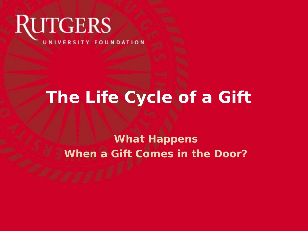# **RUTGERS** UNIVERSITY FOUNDATION

# **The Life Cycle of a Gift**

#### **What Happens When a Gift Comes in the Door?**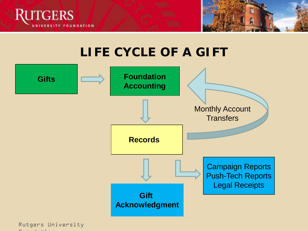



## **LIFE CYCLE OF A GIFT**

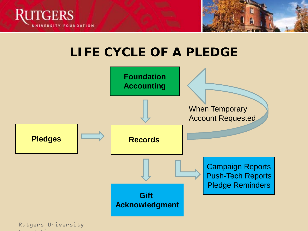



## **LIFE CYCLE OF A PLEDGE**



Rutgers University Foundation of the state of the state of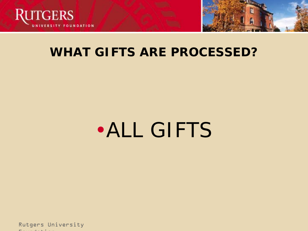



#### **WHAT GIFTS ARE PROCESSED?**

# •ALL GIFTS

Rutgers University Foundation of the control of the control of the control of the control of the control of the control of the control of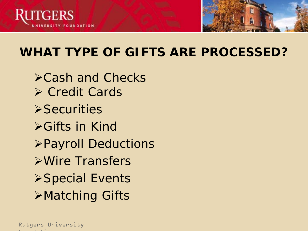



# **WHAT TYPE OF GIFTS ARE PROCESSED?**

Cash and Checks **≻ Credit Cards >Securities ≻Gifts in Kind** Payroll Deductions Wire Transfers **≻Special Events** Matching Gifts

Rutgers University Foundation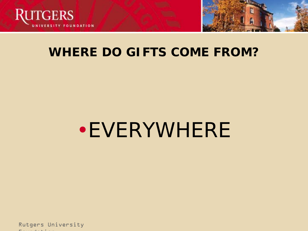



#### **WHERE DO GIFTS COME FROM?**

# •EVERYWHERE

Rutgers University Foundation of the control of the control of the control of the control of the control of the control of the control of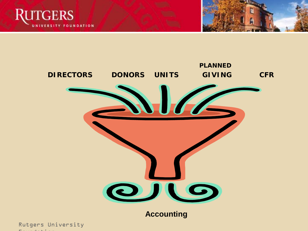



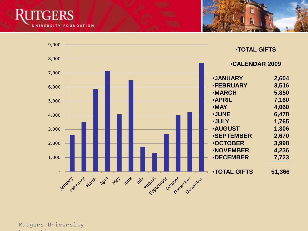



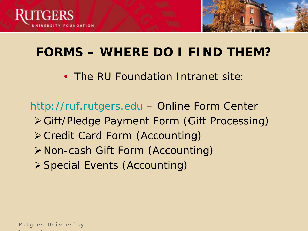



# **FORMS – WHERE DO I FIND THEM?**

• The RU Foundation Intranet site:

[http://ruf.rutgers.edu](http://ruf.rutgers.edu/) – Online Form Center Gift/Pledge Payment Form (Gift Processing) Credit Card Form (Accounting) Non-cash Gift Form (Accounting) Special Events (Accounting)

Rutgers University Foundation of the state of the state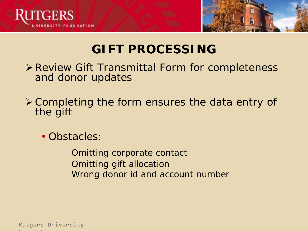



# **GIFT PROCESSING**

- Review Gift Transmittal Form for completeness and donor updates
- Completing the form ensures the data entry of the gift
	- Obstacles:

Omitting corporate contact Omitting gift allocation Wrong donor id and account number

Rutgers University Foundation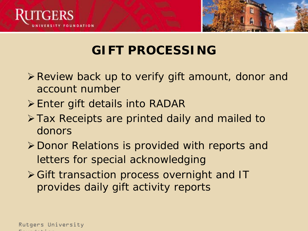



# **GIFT PROCESSING**

- **Example 7 Propellish Finds Service V Propellish Finds** Preview back up to verify gift amount, donor and account number
- $\triangleright$  Enter gift details into RADAR
- Tax Receipts are printed daily and mailed to donors
- Donor Relations is provided with reports and letters for special acknowledging
- Gift transaction process overnight and IT provides daily gift activity reports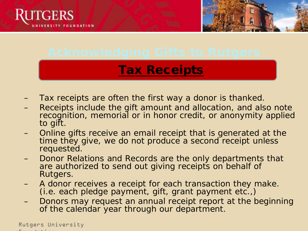



#### Tax Receipts

- Tax receipts are often the first way a donor is thanked.
- Receipts include the gift amount and allocation, and also note recognition, memorial or in honor credit, or anonymity applied to gift.
- Online gifts receive an email receipt that is generated at the time they give, we do not produce a second receipt unless requested.
- Donor Relations and Records are the only departments that are authorized to send out giving receipts on behalf of Rutgers.
- A donor receives a receipt for each transaction they make. (i.e. each pledge payment, gift, grant payment etc.,)
- Donors may request an annual receipt report at the beginning of the calendar year through our department.

Rutgers University Foundation of the state of the state of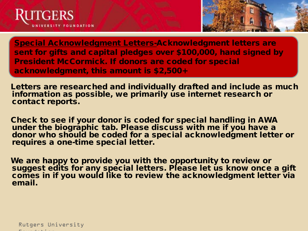



Special Acknowledgment Letters-Acknowledgment letters are sent for gifts and capital pledges over \$100,000, hand signed by President McCormick. If donors are coded for special acknowledgment, this amount is \$2,500+

Letters are researched and individually drafted and include as much information as possible, we primarily use internet research or contact reports.

Check to see if your donor is coded for special handling in AWA under the biographic tab. Please discuss with me if you have a donor who should be coded for a special acknowledgment letter or requires a one-time special letter.

We are happy to provide you with the opportunity to review or suggest edits for any special letters. Please let us know once a gift comes in if you would like to review the acknowledgment letter via email.

Rutgers University Foundation of the state of the state of the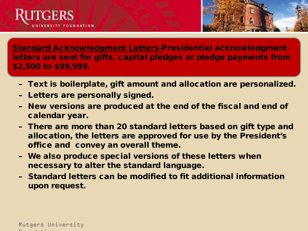



Standard Acknowledgment Letters-Presidential acknowledgment letters are sent for gifts, capital pledges or pledge payments from \$2,500 to \$99,999.

- Text is boilerplate, gift amount and allocation are personalized.
- Letters are personally signed.
- New versions are produced at the end of the fiscal and end of calendar year.
- There are more than 20 standard letters based on gift type and allocation, the letters are approved for use by the President's office and convey an overall theme.
- We also produce special versions of these letters when necessary to alter the standard language.
- Standard letters can be modified to fit additional information upon request.

Rutgers University  $\mathbf{F}$  is a constant in the foundation of  $\mathbf{F}$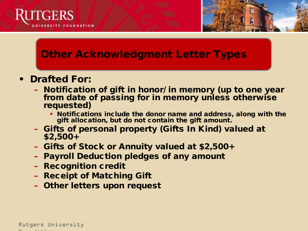

#### Other Acknowledgment Letter Types

- Drafted For:
	- Notification of gift in honor/ in memory (up to one year from date of passing for in memory unless otherwise requested)
		- Notifications include the donor name and address, along with the gift allocation, but do not contain the gift amount.

Optional Presentation of the Contract of the Contract of the Contract of the Contract of the Contract of the Contract of the Contract of the Contract of the Contract of the Contract of the Contract of the Contract of the C

**Title State** 

- Gifts of personal property (Gifts In Kind) valued at \$2,500+
- Gifts of Stock or Annuity valued at \$2,500+
- Payroll Deduction pledges of any amount
- Recognition credit
- Receipt of Matching Gift
- Other letters upon request

Rutgers University Foundation of the state of the state of the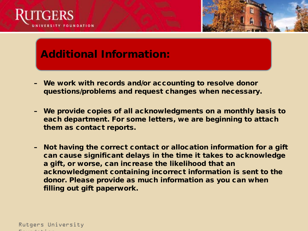



#### Additional Information:

- We work with records and/or accounting to resolve donor questions/problems and request changes when necessary.
- We provide copies of all acknowledgments on a monthly basis to each department. For some letters, we are beginning to attach them as contact reports.
- Not having the correct contact or allocation information for a gift can cause significant delays in the time it takes to acknowledge a gift, or worse, can increase the likelihood that an acknowledgment containing incorrect information is sent to the donor. Please provide as much information as you can when filling out gift paperwork.

Rutgers University  $\mathbf{F}$  is a constant in the foundation of  $\mathbf{F}$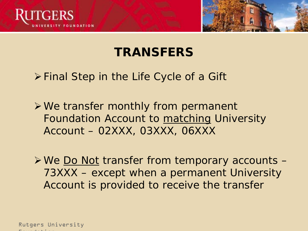



# **TRANSFERS**

Final Step in the Life Cycle of a Gift

We transfer monthly from permanent Foundation Account to matching University Account – 02XXX, 03XXX, 06XXX

**≻We Do Not transfer from temporary accounts –** 73XXX – except when a permanent University Account is provided to receive the transfer

Rutgers University  $\mathbf{F}$  is a constant in the foundation of  $\mathbf{F}$